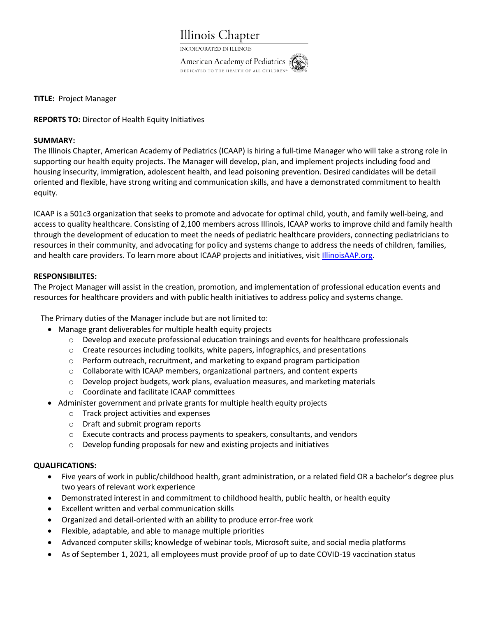

INCORPORATED IN ILLINOIS

**American Academy of Pediatrics** DEDICATED TO THE HEALTH OF ALL CHILDREN<sup>®</sup>

TITLE: Project Manager

## REPORTS TO: Director of Health Equity Initiatives

## SUMMARY:

The Illinois Chapter, American Academy of Pediatrics (ICAAP) is hiring a full-time Manager who will take a strong role in supporting our health equity projects. The Manager will develop, plan, and implement projects including food and housing insecurity, immigration, adolescent health, and lead poisoning prevention. Desired candidates will be detail oriented and flexible, have strong writing and communication skills, and have a demonstrated commitment to health equity.

ICAAP is a 501c3 organization that seeks to promote and advocate for optimal child, youth, and family well-being, and access to quality healthcare. Consisting of 2,100 members across Illinois, ICAAP works to improve child and family health through the development of education to meet the needs of pediatric healthcare providers, connecting pediatricians to resources in their community, and advocating for policy and systems change to address the needs of children, families, and health care providers. To learn more about ICAAP projects and initiatives, visit IllinoisAAP.org.

## RESPONSIBILITES:

The Project Manager will assist in the creation, promotion, and implementation of professional education events and resources for healthcare providers and with public health initiatives to address policy and systems change.

The Primary duties of the Manager include but are not limited to:

- Manage grant deliverables for multiple health equity projects
	- $\circ$  Develop and execute professional education trainings and events for healthcare professionals
	- $\circ$  Create resources including toolkits, white papers, infographics, and presentations
	- $\circ$  Perform outreach, recruitment, and marketing to expand program participation
	- o Collaborate with ICAAP members, organizational partners, and content experts
	- $\circ$  Develop project budgets, work plans, evaluation measures, and marketing materials
	- o Coordinate and facilitate ICAAP committees
- Administer government and private grants for multiple health equity projects
	- o Track project activities and expenses
	- o Draft and submit program reports
	- o Execute contracts and process payments to speakers, consultants, and vendors
	- o Develop funding proposals for new and existing projects and initiatives

## QUALIFICATIONS:

- Five years of work in public/childhood health, grant administration, or a related field OR a bachelor's degree plus two years of relevant work experience
- Demonstrated interest in and commitment to childhood health, public health, or health equity
- Excellent written and verbal communication skills
- Organized and detail-oriented with an ability to produce error-free work
- Flexible, adaptable, and able to manage multiple priorities
- Advanced computer skills; knowledge of webinar tools, Microsoft suite, and social media platforms
- As of September 1, 2021, all employees must provide proof of up to date COVID-19 vaccination status